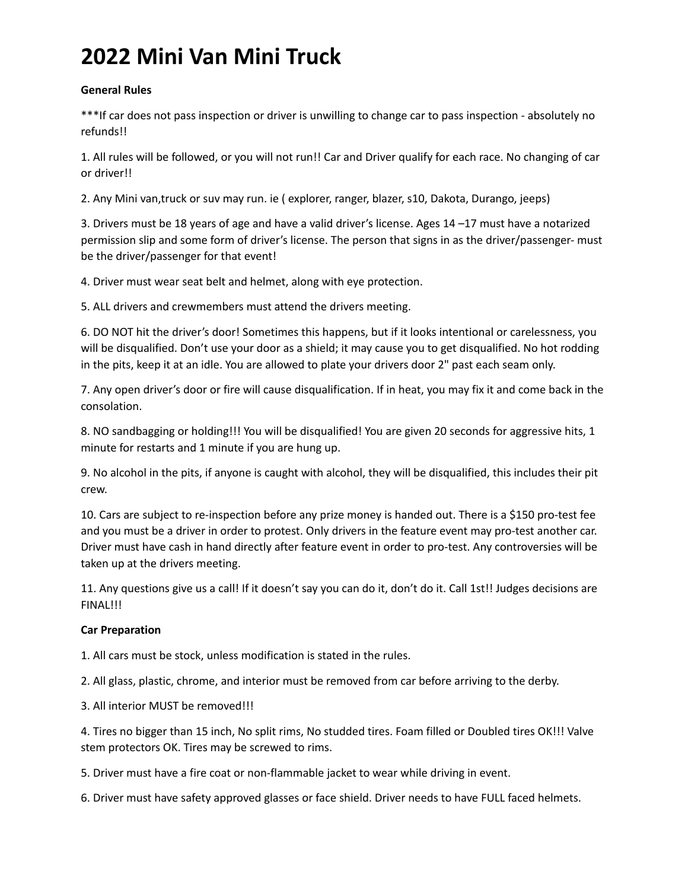### **General Rules**

\*\*\*If car does not pass inspection or driver is unwilling to change car to pass inspection - absolutely no refunds!!

1. All rules will be followed, or you will not run!! Car and Driver qualify for each race. No changing of car or driver!!

2. Any Mini van,truck or suv may run. ie ( explorer, ranger, blazer, s10, Dakota, Durango, jeeps)

3. Drivers must be 18 years of age and have a valid driver's license. Ages 14 –17 must have a notarized permission slip and some form of driver's license. The person that signs in as the driver/passenger- must be the driver/passenger for that event!

4. Driver must wear seat belt and helmet, along with eye protection.

5. ALL drivers and crewmembers must attend the drivers meeting.

6. DO NOT hit the driver's door! Sometimes this happens, but if it looks intentional or carelessness, you will be disqualified. Don't use your door as a shield; it may cause you to get disqualified. No hot rodding in the pits, keep it at an idle. You are allowed to plate your drivers door 2" past each seam only.

7. Any open driver's door or fire will cause disqualification. If in heat, you may fix it and come back in the consolation.

8. NO sandbagging or holding!!! You will be disqualified! You are given 20 seconds for aggressive hits, 1 minute for restarts and 1 minute if you are hung up.

9. No alcohol in the pits, if anyone is caught with alcohol, they will be disqualified, this includes their pit crew.

10. Cars are subject to re-inspection before any prize money is handed out. There is a \$150 pro-test fee and you must be a driver in order to protest. Only drivers in the feature event may pro-test another car. Driver must have cash in hand directly after feature event in order to pro-test. Any controversies will be taken up at the drivers meeting.

11. Any questions give us a call! If it doesn't say you can do it, don't do it. Call 1st!! Judges decisions are FINAL!!!

## **Car Preparation**

1. All cars must be stock, unless modification is stated in the rules.

2. All glass, plastic, chrome, and interior must be removed from car before arriving to the derby.

3. All interior MUST be removed!!!

4. Tires no bigger than 15 inch, No split rims, No studded tires. Foam filled or Doubled tires OK!!! Valve stem protectors OK. Tires may be screwed to rims.

5. Driver must have a fire coat or non-flammable jacket to wear while driving in event.

6. Driver must have safety approved glasses or face shield. Driver needs to have FULL faced helmets.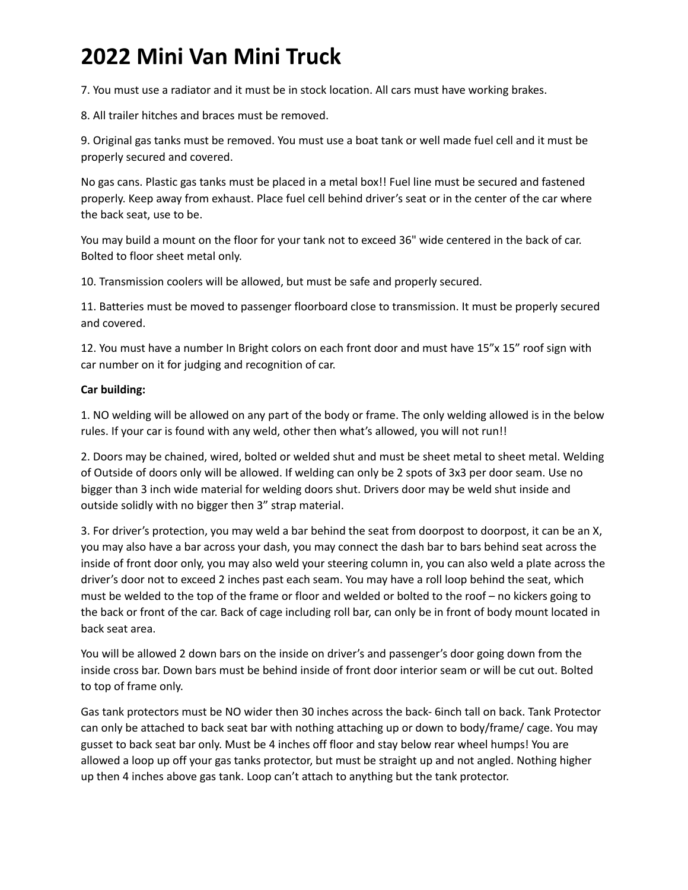7. You must use a radiator and it must be in stock location. All cars must have working brakes.

8. All trailer hitches and braces must be removed.

9. Original gas tanks must be removed. You must use a boat tank or well made fuel cell and it must be properly secured and covered.

No gas cans. Plastic gas tanks must be placed in a metal box!! Fuel line must be secured and fastened properly. Keep away from exhaust. Place fuel cell behind driver's seat or in the center of the car where the back seat, use to be.

You may build a mount on the floor for your tank not to exceed 36" wide centered in the back of car. Bolted to floor sheet metal only.

10. Transmission coolers will be allowed, but must be safe and properly secured.

11. Batteries must be moved to passenger floorboard close to transmission. It must be properly secured and covered.

12. You must have a number In Bright colors on each front door and must have 15"x 15" roof sign with car number on it for judging and recognition of car.

### **Car building:**

1. NO welding will be allowed on any part of the body or frame. The only welding allowed is in the below rules. If your car is found with any weld, other then what's allowed, you will not run!!

2. Doors may be chained, wired, bolted or welded shut and must be sheet metal to sheet metal. Welding of Outside of doors only will be allowed. If welding can only be 2 spots of 3x3 per door seam. Use no bigger than 3 inch wide material for welding doors shut. Drivers door may be weld shut inside and outside solidly with no bigger then 3" strap material.

3. For driver's protection, you may weld a bar behind the seat from doorpost to doorpost, it can be an X, you may also have a bar across your dash, you may connect the dash bar to bars behind seat across the inside of front door only, you may also weld your steering column in, you can also weld a plate across the driver's door not to exceed 2 inches past each seam. You may have a roll loop behind the seat, which must be welded to the top of the frame or floor and welded or bolted to the roof – no kickers going to the back or front of the car. Back of cage including roll bar, can only be in front of body mount located in back seat area.

You will be allowed 2 down bars on the inside on driver's and passenger's door going down from the inside cross bar. Down bars must be behind inside of front door interior seam or will be cut out. Bolted to top of frame only.

Gas tank protectors must be NO wider then 30 inches across the back- 6inch tall on back. Tank Protector can only be attached to back seat bar with nothing attaching up or down to body/frame/ cage. You may gusset to back seat bar only. Must be 4 inches off floor and stay below rear wheel humps! You are allowed a loop up off your gas tanks protector, but must be straight up and not angled. Nothing higher up then 4 inches above gas tank. Loop can't attach to anything but the tank protector.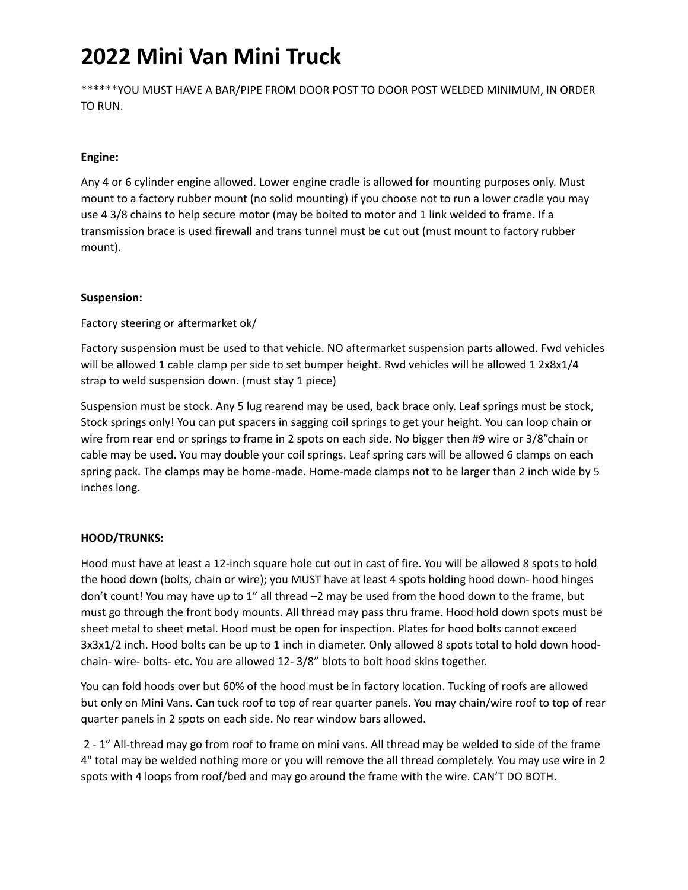\*\*\*\*\*\*YOU MUST HAVE A BAR/PIPE FROM DOOR POST TO DOOR POST WELDED MINIMUM, IN ORDER TO RUN.

### **Engine:**

Any 4 or 6 cylinder engine allowed. Lower engine cradle is allowed for mounting purposes only. Must mount to a factory rubber mount (no solid mounting) if you choose not to run a lower cradle you may use 4 3/8 chains to help secure motor (may be bolted to motor and 1 link welded to frame. If a transmission brace is used firewall and trans tunnel must be cut out (must mount to factory rubber mount).

### **Suspension:**

Factory steering or aftermarket ok/

Factory suspension must be used to that vehicle. NO aftermarket suspension parts allowed. Fwd vehicles will be allowed 1 cable clamp per side to set bumper height. Rwd vehicles will be allowed 1 2x8x1/4 strap to weld suspension down. (must stay 1 piece)

Suspension must be stock. Any 5 lug rearend may be used, back brace only. Leaf springs must be stock, Stock springs only! You can put spacers in sagging coil springs to get your height. You can loop chain or wire from rear end or springs to frame in 2 spots on each side. No bigger then #9 wire or 3/8"chain or cable may be used. You may double your coil springs. Leaf spring cars will be allowed 6 clamps on each spring pack. The clamps may be home-made. Home-made clamps not to be larger than 2 inch wide by 5 inches long.

### **HOOD/TRUNKS:**

Hood must have at least a 12-inch square hole cut out in cast of fire. You will be allowed 8 spots to hold the hood down (bolts, chain or wire); you MUST have at least 4 spots holding hood down- hood hinges don't count! You may have up to 1" all thread –2 may be used from the hood down to the frame, but must go through the front body mounts. All thread may pass thru frame. Hood hold down spots must be sheet metal to sheet metal. Hood must be open for inspection. Plates for hood bolts cannot exceed 3x3x1/2 inch. Hood bolts can be up to 1 inch in diameter. Only allowed 8 spots total to hold down hoodchain- wire- bolts- etc. You are allowed 12- 3/8" blots to bolt hood skins together.

You can fold hoods over but 60% of the hood must be in factory location. Tucking of roofs are allowed but only on Mini Vans. Can tuck roof to top of rear quarter panels. You may chain/wire roof to top of rear quarter panels in 2 spots on each side. No rear window bars allowed.

2 - 1" All-thread may go from roof to frame on mini vans. All thread may be welded to side of the frame 4" total may be welded nothing more or you will remove the all thread completely. You may use wire in 2 spots with 4 loops from roof/bed and may go around the frame with the wire. CAN'T DO BOTH.